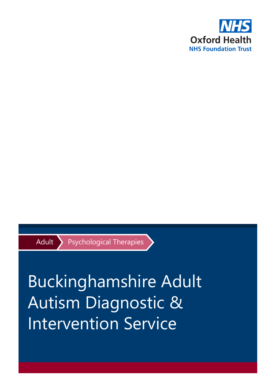

Adult Psychological Therapies

# Buckinghamshire Adult Autism Diagnostic & Intervention Service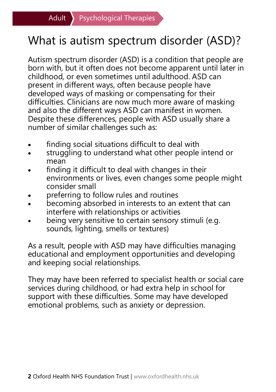#### What is autism spectrum disorder (ASD)?

Autism spectrum disorder (ASD) is a condition that people are born with, but it often does not become apparent until later in childhood, or even sometimes until adulthood. ASD can present in different ways, often because people have developed ways of masking or compensating for their difficulties. Clinicians are now much more aware of masking and also the different ways ASD can manifest in women. Despite these differences, people with ASD usually share a number of similar challenges such as:

- finding social situations difficult to deal with
- struggling to understand what other people intend or mean
- finding it difficult to deal with changes in their environments or lives, even changes some people might consider small
- preferring to follow rules and routines
- becoming absorbed in interests to an extent that can interfere with relationships or activities
- being very sensitive to certain sensory stimuli (e.g. sounds, lighting, smells or textures)

As a result, people with ASD may have difficulties managing educational and employment opportunities and developing and keeping social relationships.

They may have been referred to specialist health or social care services during childhood, or had extra help in school for support with these difficulties. Some may have developed emotional problems, such as anxiety or depression.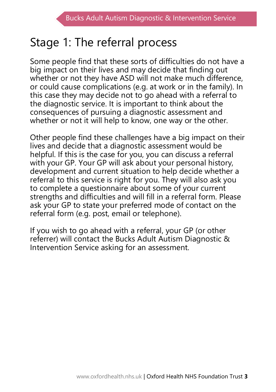#### Stage 1: The referral process

Some people find that these sorts of difficulties do not have a big impact on their lives and may decide that finding out whether or not they have ASD will not make much difference, or could cause complications (e.g. at work or in the family). In this case they may decide not to go ahead with a referral to the diagnostic service. It is important to think about the consequences of pursuing a diagnostic assessment and whether or not it will help to know, one way or the other.

Other people find these challenges have a big impact on their lives and decide that a diagnostic assessment would be helpful. If this is the case for you, you can discuss a referral with your GP. Your GP will ask about your personal history, development and current situation to help decide whether a referral to this service is right for you. They will also ask you to complete a questionnaire about some of your current strengths and difficulties and will fill in a referral form. Please ask your GP to state your preferred mode of contact on the referral form (e.g. post, email or telephone).

If you wish to go ahead with a referral, your GP (or other referrer) will contact the Bucks Adult Autism Diagnostic & Intervention Service asking for an assessment.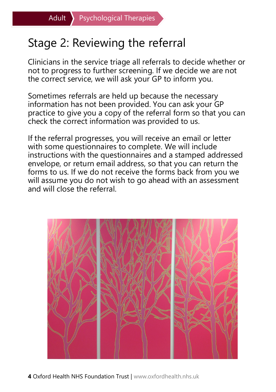## Stage 2: Reviewing the referral

Clinicians in the service triage all referrals to decide whether or not to progress to further screening. If we decide we are not the correct service, we will ask your GP to inform you.

Sometimes referrals are held up because the necessary information has not been provided. You can ask your GP practice to give you a copy of the referral form so that you can check the correct information was provided to us.

If the referral progresses, you will receive an email or letter with some questionnaires to complete. We will include instructions with the questionnaires and a stamped addressed envelope, or return email address, so that you can return the forms to us. If we do not receive the forms back from you we will assume you do not wish to go ahead with an assessment and will close the referral.



**4** Oxford Health NHS Foundation Trust | www.oxfordhealth.nhs.uk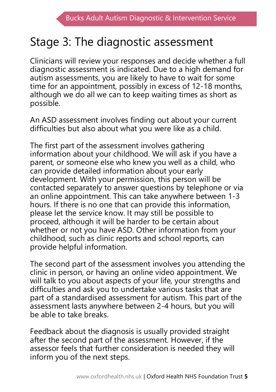## Stage 3: The diagnostic assessment

Clinicians will review your responses and decide whether a full diagnostic assessment is indicated. Due to a high demand for autism assessments, you are likely to have to wait for some time for an appointment, possibly in excess of 12-18 months, although we do all we can to keep waiting times as short as possible.

An ASD assessment involves finding out about your current difficulties but also about what you were like as a child.

The first part of the assessment involves gathering information about your childhood. We will ask if you have a parent, or someone else who knew you well as a child, who can provide detailed information about your early development. With your permission, this person will be contacted separately to answer questions by telephone or via an online appointment. This can take anywhere between 1-3 hours. If there is no one that can provide this information, please let the service know. It may still be possible to proceed, although it will be harder to be certain about whether or not you have ASD. Other information from your childhood, such as clinic reports and school reports, can provide helpful information.

The second part of the assessment involves you attending the clinic in person, or having an online video appointment. We will talk to you about aspects of your life, your strengths and difficulties and ask you to undertake various tasks that are part of a standardised assessment for autism. This part of the assessment lasts anywhere between 2-4 hours, but you will be able to take breaks.

Feedback about the diagnosis is usually provided straight after the second part of the assessment. However, if the assessor feels that further consideration is needed they will inform you of the next steps.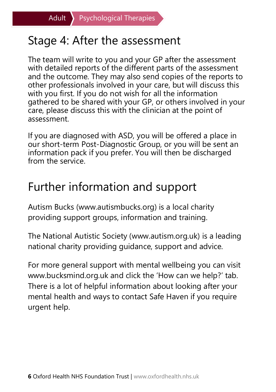#### Stage 4: After the assessment

The team will write to you and your GP after the assessment with detailed reports of the different parts of the assessment and the outcome. They may also send copies of the reports to other professionals involved in your care, but will discuss this with you first. If you do not wish for all the information gathered to be shared with your GP, or others involved in your care, please discuss this with the clinician at the point of assessment.

If you are diagnosed with ASD, you will be offered a place in our short-term Post-Diagnostic Group, or you will be sent an information pack if you prefer. You will then be discharged from the service

#### Further information and support

Autism Bucks (www.autismbucks.org) is a local charity providing support groups, information and training.

The National Autistic Society (www.autism.org.uk) is a leading national charity providing guidance, support and advice.

For more general support with mental wellbeing you can visit www.bucksmind.org.uk and click the 'How can we help?' tab. There is a lot of helpful information about looking after your mental health and ways to contact Safe Haven if you require urgent help.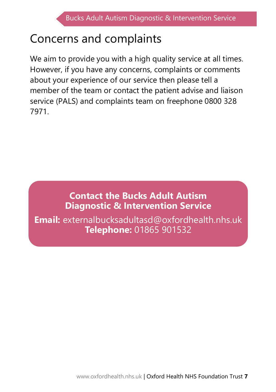## Concerns and complaints

We aim to provide you with a high quality service at all times. However, if you have any concerns, complaints or comments about your experience of our service then please tell a member of the team or contact the patient advise and liaison service (PALS) and complaints team on freephone 0800 328 7971.

#### **Contact the Bucks Adult Autism Diagnostic & Intervention Service**

**Email:** externalbucksadultasd@oxfordhealth.nhs.uk **Telephone:** 01865 901532